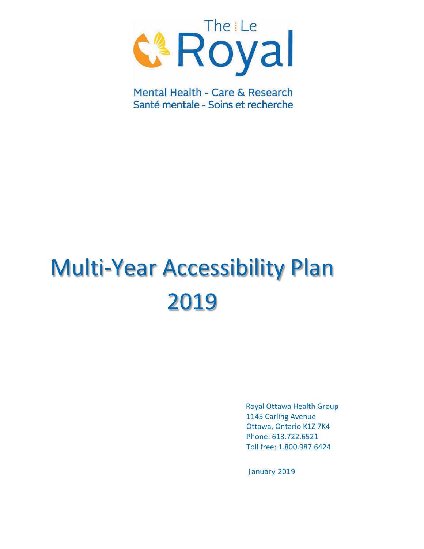

Mental Health - Care & Research Santé mentale - Soins et recherche

# Multi-Year Accessibility Plan 2019

Royal Ottawa Health Group 1145 Carling Avenue Ottawa, Ontario K1Z 7K4 Phone: 613.722.6521 Toll free: 1.800.987.6424

January 2019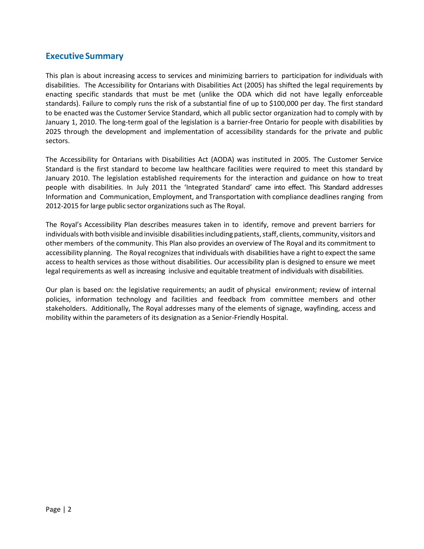#### **Executive Summary**

This plan is about increasing access to services and minimizing barriers to participation for individuals with disabilities. The Accessibility for Ontarians with Disabilities Act (2005) has shifted the legal requirements by enacting specific standards that must be met (unlike the ODA which did not have legally enforceable standards). Failure to comply runs the risk of a substantial fine of up to \$100,000 per day. The first standard to be enacted was the Customer Service Standard, which all public sector organization had to comply with by January 1, 2010. The long-term goal of the legislation is a barrier-free Ontario for people with disabilities by 2025 through the development and implementation of accessibility standards for the private and public sectors.

The Accessibility for Ontarians with Disabilities Act (AODA) was instituted in 2005. The Customer Service Standard is the first standard to become law healthcare facilities were required to meet this standard by January 2010. The legislation established requirements for the interaction and guidance on how to treat people with disabilities. In July 2011 the 'Integrated Standard' came into effect. This Standard addresses Information and Communication, Employment, and Transportation with compliance deadlines ranging from 2012-2015 for large public sector organizations such as The Royal.

The Royal's Accessibility Plan describes measures taken in to identify, remove and prevent barriers for individuals with both visible and invisible disabilities including patients, staff, clients, community, visitors and other members of the community. This Plan also provides an overview of The Royal and its commitment to accessibility planning. The Royal recognizes that individuals with disabilities have a right to expect the same access to health services as those without disabilities. Our accessibility plan is designed to ensure we meet legal requirements as well as increasing inclusive and equitable treatment of individuals with disabilities.

Our plan is based on: the legislative requirements; an audit of physical environment; review of internal policies, information technology and facilities and feedback from committee members and other stakeholders. Additionally, The Royal addresses many of the elements of signage, wayfinding, access and mobility within the parameters of its designation as a Senior-Friendly Hospital.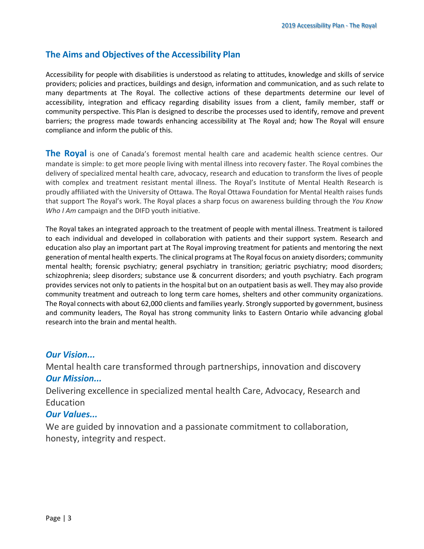### **The Aims and Objectives of the Accessibility Plan**

Accessibility for people with disabilities is understood as relating to attitudes, knowledge and skills of service providers; policies and practices, buildings and design, information and communication, and as such relate to many departments at The Royal. The collective actions of these departments determine our level of accessibility, integration and efficacy regarding disability issues from a client, family member, staff or community perspective. This Plan is designed to describe the processes used to identify, remove and prevent barriers; the progress made towards enhancing accessibility at The Royal and; how The Royal will ensure compliance and inform the public of this.

**The Royal** is one of Canada's foremost mental health care and academic health science centres. Our mandate is simple: to get more people living with mental illness into recovery faster. The Royal combines the delivery of specialized mental health care, advocacy, research and education to transform the lives of people with complex and treatment resistant mental illness. The Royal's Institute of Mental Health Research is proudly affiliated with the University of Ottawa. The Royal Ottawa Foundation for Mental Health raises funds that support The Royal's work. The Royal places a sharp focus on awareness building through the *You Know Who I Am* campaign and the DIFD youth initiative.

The Royal takes an integrated approach to the treatment of people with mental illness. Treatment is tailored to each individual and developed in collaboration with patients and their support system. Research and education also play an important part at The Royal improving treatment for patients and mentoring the next generation of mental health experts. The clinical programs at The Royal focus on anxiety disorders; community mental health; forensic psychiatry; general psychiatry in transition; geriatric psychiatry; mood disorders; schizophrenia; sleep disorders; substance use & concurrent disorders; and youth psychiatry. Each program provides services not only to patients in the hospital but on an outpatient basis as well. They may also provide community treatment and outreach to long term care homes, shelters and other community organizations. The Royal connects with about 62,000 clients and families yearly. Strongly supported by government, business and community leaders, The Royal has strong community links to Eastern Ontario while advancing global research into the brain and mental health.

#### *Our Vision...*

Mental health care transformed through partnerships, innovation and discovery *Our Mission...*

Delivering excellence in specialized mental health Care, Advocacy, Research and **Education** 

#### *Our Values...*

We are guided by innovation and a passionate commitment to collaboration, honesty, integrity and respect.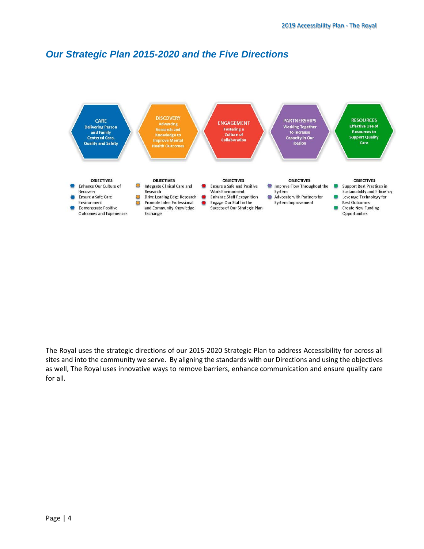# *Our Strategic Plan 2015-2020 and the Five Directions*



The Royal uses the strategic directions of our 2015-2020 Strategic Plan to address Accessibility for across all sites and into the community we serve. By aligning the standards with our Directions and using the objectives as well, The Royal uses innovative ways to remove barriers, enhance communication and ensure quality care for all.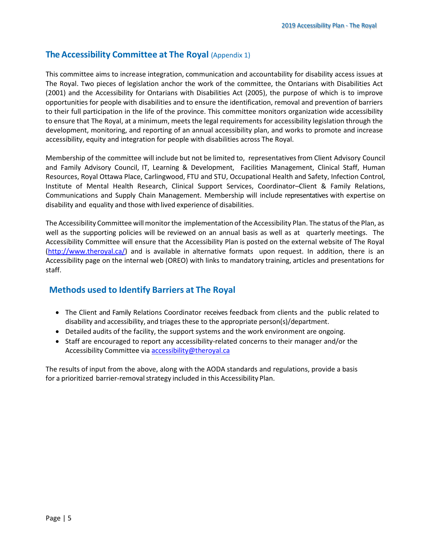#### **The Accessibility Committee at The Royal** (Appendix 1)

This committee aims to increase integration, communication and accountability for disability access issues at The Royal. Two pieces of legislation anchor the work of the committee, the Ontarians with Disabilities Act (2001) and the Accessibility for Ontarians with Disabilities Act (2005), the purpose of which is to improve opportunities for people with disabilities and to ensure the identification, removal and prevention of barriers to their full participation in the life of the province. This committee monitors organization wide accessibility to ensure that The Royal, at a minimum, meets the legal requirements for accessibility legislation through the development, monitoring, and reporting of an annual accessibility plan, and works to promote and increase accessibility, equity and integration for people with disabilities across The Royal.

Membership of the committee will include but not be limited to, representativesfrom Client Advisory Council and Family Advisory Council, IT, Learning & Development, Facilities Management, Clinical Staff, Human Resources, Royal Ottawa Place, Carlingwood, FTU and STU, Occupational Health and Safety, Infection Control, Institute of Mental Health Research, Clinical Support Services, Coordinator–Client & Family Relations, Communications and Supply Chain Management. Membership will include representatives with expertise on disability and equality and those with lived experience of disabilities.

The Accessibility Committee will monitor the implementation of the Accessibility Plan. The status of the Plan, as well as the supporting policies will be reviewed on an annual basis as well as at quarterly meetings. The Accessibility Committee will ensure that the Accessibility Plan is posted on the external website of The Royal [\(http://www.theroyal.ca/\)](http://www.theroyal.ca/) and is available in alternative formats upon request. In addition, there is an Accessibility page on the internal web (OREO) with links to mandatory training, articles and presentations for staff.

#### **Methods used to Identify Barriers at The Royal**

- The Client and Family Relations Coordinator receives feedback from clients and the public related to disability and accessibility, and triages these to the appropriate person(s)/department.
- Detailed audits of the facility, the support systems and the work environment are ongoing.
- Staff are encouraged to report any accessibility-related concerns to their manager and/or the Accessibility Committee via [accessibility@theroyal.ca](mailto:accessibility@theroyal.ca)

The results of input from the above, along with the AODA standards and regulations, provide a basis for a prioritized barrier-removal strategy included in this Accessibility Plan.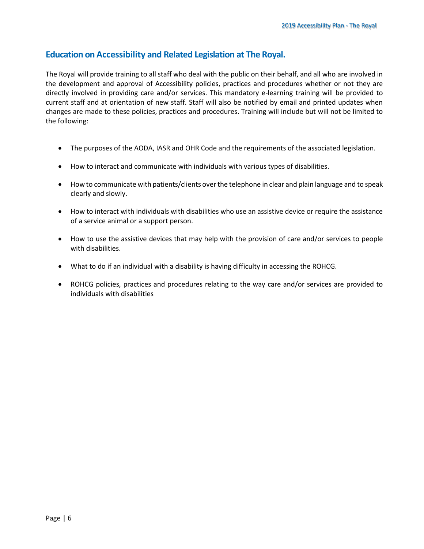#### **Education on Accessibility and Related Legislation at The Royal.**

The Royal will provide training to all staff who deal with the public on their behalf, and all who are involved in the development and approval of Accessibility policies, practices and procedures whether or not they are directly involved in providing care and/or services. This mandatory e-learning training will be provided to current staff and at orientation of new staff. Staff will also be notified by email and printed updates when changes are made to these policies, practices and procedures. Training will include but will not be limited to the following:

- The purposes of the AODA, IASR and OHR Code and the requirements of the associated legislation.
- How to interact and communicate with individuals with various types of disabilities.
- How to communicate with patients/clients over the telephone in clear and plain language and to speak clearly and slowly.
- How to interact with individuals with disabilities who use an assistive device or require the assistance of a service animal or a support person.
- How to use the assistive devices that may help with the provision of care and/or services to people with disabilities.
- What to do if an individual with a disability is having difficulty in accessing the ROHCG.
- ROHCG policies, practices and procedures relating to the way care and/or services are provided to individuals with disabilities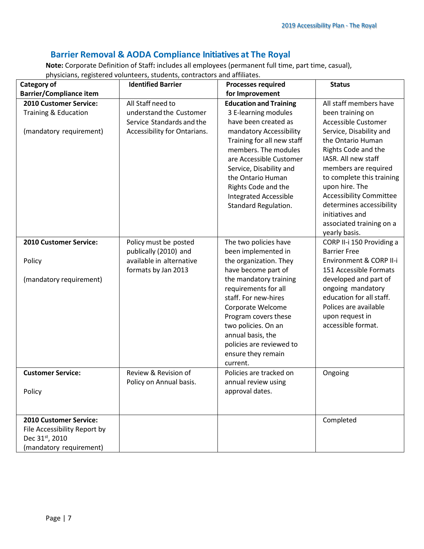## **Barrier Removal & AODA Compliance Initiatives at The Royal**

**Note:** Corporate Definition of Staff**:** includes all employees (permanent full time, part time, casual), physicians, registered volunteers, students, contractors and affiliates.

| Category of                                                                                         | <b>Identified Barrier</b>                                                                                 | <b>Processes required</b>                                                                                                                                                                                                     | <b>Status</b>                                                                                                                                                                                     |
|-----------------------------------------------------------------------------------------------------|-----------------------------------------------------------------------------------------------------------|-------------------------------------------------------------------------------------------------------------------------------------------------------------------------------------------------------------------------------|---------------------------------------------------------------------------------------------------------------------------------------------------------------------------------------------------|
| <b>Barrier/Compliance item</b>                                                                      |                                                                                                           | for Improvement                                                                                                                                                                                                               |                                                                                                                                                                                                   |
| 2010 Customer Service:<br>Training & Education<br>(mandatory requirement)                           | All Staff need to<br>understand the Customer<br>Service Standards and the<br>Accessibility for Ontarians. | <b>Education and Training</b><br>3 E-learning modules<br>have been created as<br>mandatory Accessibility<br>Training for all new staff<br>members. The modules<br>are Accessible Customer                                     | All staff members have<br>been training on<br>Accessible Customer<br>Service, Disability and<br>the Ontario Human<br>Rights Code and the<br>IASR. All new staff                                   |
|                                                                                                     |                                                                                                           | Service, Disability and<br>the Ontario Human<br>Rights Code and the<br><b>Integrated Accessible</b><br><b>Standard Regulation.</b>                                                                                            | members are required<br>to complete this training<br>upon hire. The<br><b>Accessibility Committee</b><br>determines accessibility<br>initiatives and<br>associated training on a<br>yearly basis. |
| 2010 Customer Service:                                                                              | Policy must be posted<br>publically (2010) and                                                            | The two policies have<br>been implemented in                                                                                                                                                                                  | CORP II-i 150 Providing a<br><b>Barrier Free</b>                                                                                                                                                  |
| Policy                                                                                              | available in alternative<br>formats by Jan 2013                                                           | the organization. They<br>have become part of                                                                                                                                                                                 | Environment & CORP II-i<br>151 Accessible Formats                                                                                                                                                 |
| (mandatory requirement)                                                                             |                                                                                                           | the mandatory training<br>requirements for all<br>staff. For new-hires<br>Corporate Welcome<br>Program covers these<br>two policies. On an<br>annual basis, the<br>policies are reviewed to<br>ensure they remain<br>current. | developed and part of<br>ongoing mandatory<br>education for all staff.<br>Polices are available<br>upon request in<br>accessible format.                                                          |
| <b>Customer Service:</b><br>Policy                                                                  | Review & Revision of<br>Policy on Annual basis.                                                           | Policies are tracked on<br>annual review using<br>approval dates.                                                                                                                                                             | Ongoing                                                                                                                                                                                           |
| 2010 Customer Service:<br>File Accessibility Report by<br>Dec 31st, 2010<br>(mandatory requirement) |                                                                                                           |                                                                                                                                                                                                                               | Completed                                                                                                                                                                                         |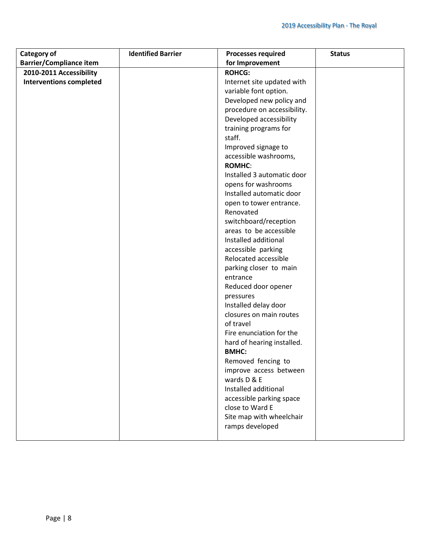| Category of                    | <b>Identified Barrier</b> | <b>Processes required</b>   | <b>Status</b> |
|--------------------------------|---------------------------|-----------------------------|---------------|
| <b>Barrier/Compliance item</b> |                           | for Improvement             |               |
| 2010-2011 Accessibility        |                           | <b>ROHCG:</b>               |               |
| <b>Interventions completed</b> |                           | Internet site updated with  |               |
|                                |                           | variable font option.       |               |
|                                |                           | Developed new policy and    |               |
|                                |                           | procedure on accessibility. |               |
|                                |                           | Developed accessibility     |               |
|                                |                           | training programs for       |               |
|                                |                           | staff.                      |               |
|                                |                           | Improved signage to         |               |
|                                |                           | accessible washrooms,       |               |
|                                |                           | <b>ROMHC:</b>               |               |
|                                |                           | Installed 3 automatic door  |               |
|                                |                           | opens for washrooms         |               |
|                                |                           | Installed automatic door    |               |
|                                |                           | open to tower entrance.     |               |
|                                |                           | Renovated                   |               |
|                                |                           | switchboard/reception       |               |
|                                |                           | areas to be accessible      |               |
|                                |                           | Installed additional        |               |
|                                |                           | accessible parking          |               |
|                                |                           | Relocated accessible        |               |
|                                |                           | parking closer to main      |               |
|                                |                           | entrance                    |               |
|                                |                           | Reduced door opener         |               |
|                                |                           | pressures                   |               |
|                                |                           | Installed delay door        |               |
|                                |                           | closures on main routes     |               |
|                                |                           | of travel                   |               |
|                                |                           | Fire enunciation for the    |               |
|                                |                           | hard of hearing installed.  |               |
|                                |                           | <b>BMHC:</b>                |               |
|                                |                           | Removed fencing to          |               |
|                                |                           | improve access between      |               |
|                                |                           | wards D & E                 |               |
|                                |                           | Installed additional        |               |
|                                |                           | accessible parking space    |               |
|                                |                           | close to Ward E             |               |
|                                |                           | Site map with wheelchair    |               |
|                                |                           | ramps developed             |               |
|                                |                           |                             |               |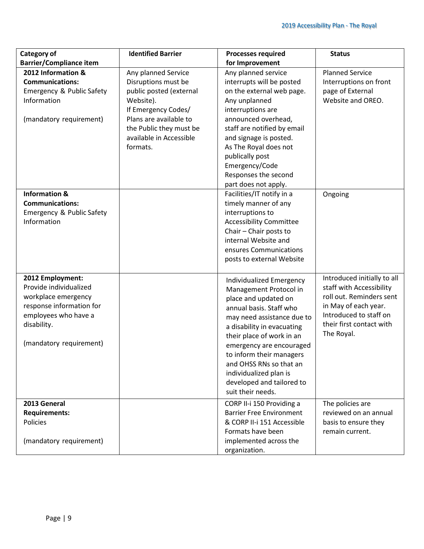| Category of                                                                                                                                                     | <b>Identified Barrier</b>                                                                                                                                                                             | <b>Processes required</b>                                                                                                                                                                                                                                                                                                                                     | <b>Status</b>                                                                                                                                                                   |
|-----------------------------------------------------------------------------------------------------------------------------------------------------------------|-------------------------------------------------------------------------------------------------------------------------------------------------------------------------------------------------------|---------------------------------------------------------------------------------------------------------------------------------------------------------------------------------------------------------------------------------------------------------------------------------------------------------------------------------------------------------------|---------------------------------------------------------------------------------------------------------------------------------------------------------------------------------|
| <b>Barrier/Compliance item</b>                                                                                                                                  |                                                                                                                                                                                                       | for Improvement                                                                                                                                                                                                                                                                                                                                               |                                                                                                                                                                                 |
| 2012 Information &<br><b>Communications:</b><br>Emergency & Public Safety<br>Information<br>(mandatory requirement)                                             | Any planned Service<br>Disruptions must be<br>public posted (external<br>Website).<br>If Emergency Codes/<br>Plans are available to<br>the Public they must be<br>available in Accessible<br>formats. | Any planned service<br>interrupts will be posted<br>on the external web page.<br>Any unplanned<br>interruptions are<br>announced overhead,<br>staff are notified by email<br>and signage is posted.<br>As The Royal does not<br>publically post<br>Emergency/Code<br>Responses the second<br>part does not apply.                                             | <b>Planned Service</b><br>Interruptions on front<br>page of External<br>Website and OREO.                                                                                       |
| <b>Information &amp;</b><br><b>Communications:</b><br>Emergency & Public Safety<br>Information                                                                  |                                                                                                                                                                                                       | Facilities/IT notify in a<br>timely manner of any<br>interruptions to<br><b>Accessibility Committee</b><br>Chair - Chair posts to<br>internal Website and<br>ensures Communications<br>posts to external Website                                                                                                                                              | Ongoing                                                                                                                                                                         |
| 2012 Employment:<br>Provide individualized<br>workplace emergency<br>response information for<br>employees who have a<br>disability.<br>(mandatory requirement) |                                                                                                                                                                                                       | Individualized Emergency<br>Management Protocol in<br>place and updated on<br>annual basis. Staff who<br>may need assistance due to<br>a disability in evacuating<br>their place of work in an<br>emergency are encouraged<br>to inform their managers<br>and OHSS RNs so that an<br>individualized plan is<br>developed and tailored to<br>suit their needs. | Introduced initially to all<br>staff with Accessibility<br>roll out. Reminders sent<br>in May of each year.<br>Introduced to staff on<br>their first contact with<br>The Royal. |
| 2013 General<br><b>Requirements:</b><br>Policies<br>(mandatory requirement)                                                                                     |                                                                                                                                                                                                       | CORP II-i 150 Providing a<br><b>Barrier Free Environment</b><br>& CORP II-i 151 Accessible<br>Formats have been<br>implemented across the<br>organization.                                                                                                                                                                                                    | The policies are<br>reviewed on an annual<br>basis to ensure they<br>remain current.                                                                                            |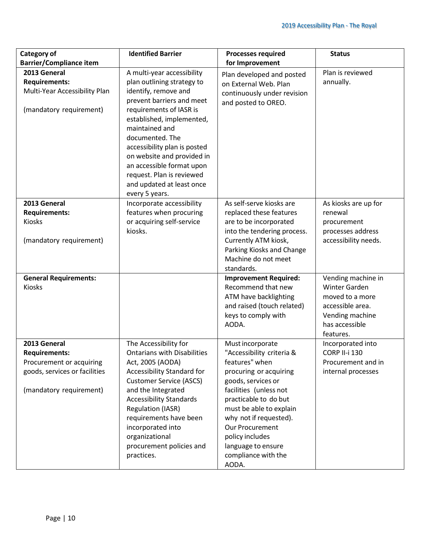| <b>Category of</b>                                                                               | <b>Identified Barrier</b>                                                                                                                                                                                                                                                                                                                                                         | <b>Processes required</b>                                                                                                                                                                        | <b>Status</b>                                                                                                 |
|--------------------------------------------------------------------------------------------------|-----------------------------------------------------------------------------------------------------------------------------------------------------------------------------------------------------------------------------------------------------------------------------------------------------------------------------------------------------------------------------------|--------------------------------------------------------------------------------------------------------------------------------------------------------------------------------------------------|---------------------------------------------------------------------------------------------------------------|
| <b>Barrier/Compliance item</b>                                                                   |                                                                                                                                                                                                                                                                                                                                                                                   | for Improvement                                                                                                                                                                                  |                                                                                                               |
| 2013 General<br><b>Requirements:</b><br>Multi-Year Accessibility Plan<br>(mandatory requirement) | A multi-year accessibility<br>plan outlining strategy to<br>identify, remove and<br>prevent barriers and meet<br>requirements of IASR is<br>established, implemented,<br>maintained and<br>documented. The<br>accessibility plan is posted<br>on website and provided in<br>an accessible format upon<br>request. Plan is reviewed<br>and updated at least once<br>every 5 years. | Plan developed and posted<br>on External Web. Plan<br>continuously under revision<br>and posted to OREO.                                                                                         | Plan is reviewed<br>annually.                                                                                 |
| 2013 General                                                                                     | Incorporate accessibility                                                                                                                                                                                                                                                                                                                                                         | As self-serve kiosks are                                                                                                                                                                         | As kiosks are up for                                                                                          |
| <b>Requirements:</b>                                                                             | features when procuring                                                                                                                                                                                                                                                                                                                                                           | replaced these features                                                                                                                                                                          | renewal                                                                                                       |
| Kiosks                                                                                           | or acquiring self-service                                                                                                                                                                                                                                                                                                                                                         | are to be incorporated                                                                                                                                                                           | procurement                                                                                                   |
| (mandatory requirement)                                                                          | kiosks.                                                                                                                                                                                                                                                                                                                                                                           | into the tendering process.<br>Currently ATM kiosk,<br>Parking Kiosks and Change<br>Machine do not meet<br>standards.                                                                            | processes address<br>accessibility needs.                                                                     |
| <b>General Requirements:</b>                                                                     |                                                                                                                                                                                                                                                                                                                                                                                   | <b>Improvement Required:</b>                                                                                                                                                                     | Vending machine in                                                                                            |
| Kiosks                                                                                           |                                                                                                                                                                                                                                                                                                                                                                                   | Recommend that new<br>ATM have backlighting<br>and raised (touch related)<br>keys to comply with<br>AODA.                                                                                        | <b>Winter Garden</b><br>moved to a more<br>accessible area.<br>Vending machine<br>has accessible<br>features. |
| 2013 General                                                                                     | The Accessibility for                                                                                                                                                                                                                                                                                                                                                             | Must incorporate                                                                                                                                                                                 | Incorporated into                                                                                             |
| <b>Requirements:</b>                                                                             | <b>Ontarians with Disabilities</b>                                                                                                                                                                                                                                                                                                                                                | "Accessibility criteria &                                                                                                                                                                        | <b>CORP II-i 130</b>                                                                                          |
| Procurement or acquiring                                                                         | Act, 2005 (AODA)                                                                                                                                                                                                                                                                                                                                                                  | features" when                                                                                                                                                                                   | Procurement and in                                                                                            |
| goods, services or facilities                                                                    | Accessibility Standard for<br><b>Customer Service (ASCS)</b>                                                                                                                                                                                                                                                                                                                      | procuring or acquiring<br>goods, services or                                                                                                                                                     | internal processes                                                                                            |
| (mandatory requirement)                                                                          | and the Integrated<br><b>Accessibility Standards</b><br><b>Regulation (IASR)</b><br>requirements have been<br>incorporated into<br>organizational<br>procurement policies and<br>practices.                                                                                                                                                                                       | facilities (unless not<br>practicable to do but<br>must be able to explain<br>why not if requested).<br>Our Procurement<br>policy includes<br>language to ensure<br>compliance with the<br>AODA. |                                                                                                               |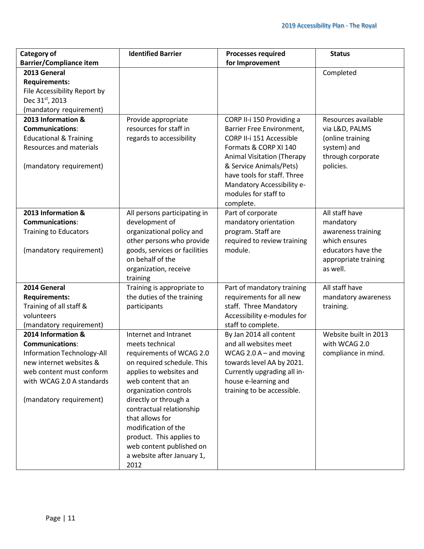| Category of                       | <b>Identified Barrier</b>                                | <b>Processes required</b>                              | <b>Status</b>         |
|-----------------------------------|----------------------------------------------------------|--------------------------------------------------------|-----------------------|
| <b>Barrier/Compliance item</b>    |                                                          | for Improvement                                        |                       |
| 2013 General                      |                                                          |                                                        | Completed             |
| <b>Requirements:</b>              |                                                          |                                                        |                       |
| File Accessibility Report by      |                                                          |                                                        |                       |
| Dec 31st, 2013                    |                                                          |                                                        |                       |
| (mandatory requirement)           |                                                          |                                                        |                       |
| 2013 Information &                | Provide appropriate                                      | CORP II-i 150 Providing a                              | Resources available   |
| <b>Communications:</b>            | resources for staff in                                   | Barrier Free Environment,                              | via L&D, PALMS        |
| <b>Educational &amp; Training</b> | regards to accessibility                                 | CORP II-i 151 Accessible                               | (online training      |
| <b>Resources and materials</b>    |                                                          | Formats & CORP XI 140                                  | system) and           |
|                                   |                                                          | <b>Animal Visitation (Therapy</b>                      | through corporate     |
| (mandatory requirement)           |                                                          | & Service Animals/Pets)                                | policies.             |
|                                   |                                                          | have tools for staff. Three                            |                       |
|                                   |                                                          | Mandatory Accessibility e-                             |                       |
|                                   |                                                          | modules for staff to                                   |                       |
|                                   |                                                          | complete.                                              |                       |
| 2013 Information &                | All persons participating in                             | Part of corporate                                      | All staff have        |
| <b>Communications:</b>            | development of                                           | mandatory orientation                                  | mandatory             |
| <b>Training to Educators</b>      | organizational policy and                                | program. Staff are                                     | awareness training    |
|                                   | other persons who provide                                | required to review training                            | which ensures         |
| (mandatory requirement)           | goods, services or facilities                            | module.                                                | educators have the    |
|                                   | on behalf of the                                         |                                                        | appropriate training  |
|                                   | organization, receive                                    |                                                        | as well.              |
| 2014 General                      | training                                                 |                                                        | All staff have        |
| <b>Requirements:</b>              | Training is appropriate to<br>the duties of the training | Part of mandatory training<br>requirements for all new | mandatory awareness   |
| Training of all staff &           | participants                                             | staff. Three Mandatory                                 | training.             |
| volunteers                        |                                                          | Accessibility e-modules for                            |                       |
| (mandatory requirement)           |                                                          | staff to complete.                                     |                       |
| 2014 Information &                | Internet and Intranet                                    | By Jan 2014 all content                                | Website built in 2013 |
| <b>Communications:</b>            | meets technical                                          | and all websites meet                                  | with WCAG 2.0         |
| Information Technology-All        | requirements of WCAG 2.0                                 | WCAG 2.0 $A$ – and moving                              | compliance in mind.   |
| new internet websites &           | on required schedule. This                               | towards level AA by 2021.                              |                       |
| web content must conform          | applies to websites and                                  | Currently upgrading all in-                            |                       |
| with WCAG 2.0 A standards         | web content that an                                      | house e-learning and                                   |                       |
|                                   | organization controls                                    | training to be accessible.                             |                       |
| (mandatory requirement)           | directly or through a                                    |                                                        |                       |
|                                   | contractual relationship                                 |                                                        |                       |
|                                   | that allows for                                          |                                                        |                       |
|                                   | modification of the                                      |                                                        |                       |
|                                   | product. This applies to                                 |                                                        |                       |
|                                   | web content published on                                 |                                                        |                       |
|                                   | a website after January 1,                               |                                                        |                       |
|                                   | 2012                                                     |                                                        |                       |
|                                   |                                                          |                                                        |                       |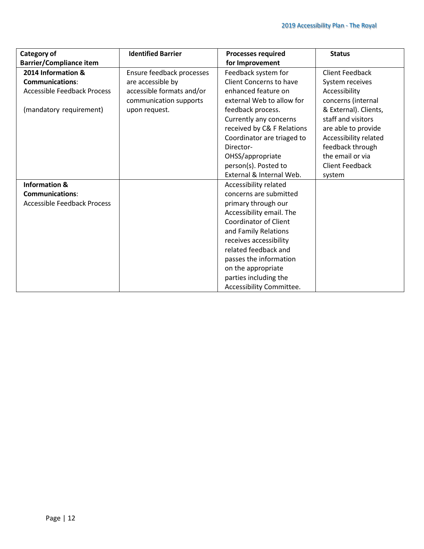| <b>Category of</b>                 | <b>Identified Barrier</b> | <b>Processes required</b>      | <b>Status</b>          |
|------------------------------------|---------------------------|--------------------------------|------------------------|
| <b>Barrier/Compliance item</b>     |                           | for Improvement                |                        |
| 2014 Information &                 | Ensure feedback processes | Feedback system for            | <b>Client Feedback</b> |
| <b>Communications:</b>             | are accessible by         | <b>Client Concerns to have</b> | System receives        |
| <b>Accessible Feedback Process</b> | accessible formats and/or | enhanced feature on            | Accessibility          |
|                                    | communication supports    | external Web to allow for      | concerns (internal     |
| (mandatory requirement)            | upon request.             | feedback process.              | & External). Clients,  |
|                                    |                           | Currently any concerns         | staff and visitors     |
|                                    |                           | received by C& F Relations     | are able to provide    |
|                                    |                           | Coordinator are triaged to     | Accessibility related  |
|                                    |                           | Director-                      | feedback through       |
|                                    |                           | OHSS/appropriate               | the email or via       |
|                                    |                           | person(s). Posted to           | <b>Client Feedback</b> |
|                                    |                           | External & Internal Web.       | system                 |
| <b>Information &amp;</b>           |                           | Accessibility related          |                        |
| <b>Communications:</b>             |                           | concerns are submitted         |                        |
| <b>Accessible Feedback Process</b> |                           | primary through our            |                        |
|                                    |                           | Accessibility email. The       |                        |
|                                    |                           | <b>Coordinator of Client</b>   |                        |
|                                    |                           | and Family Relations           |                        |
|                                    |                           | receives accessibility         |                        |
|                                    |                           | related feedback and           |                        |
|                                    |                           | passes the information         |                        |
|                                    |                           | on the appropriate             |                        |
|                                    |                           | parties including the          |                        |
|                                    |                           | Accessibility Committee.       |                        |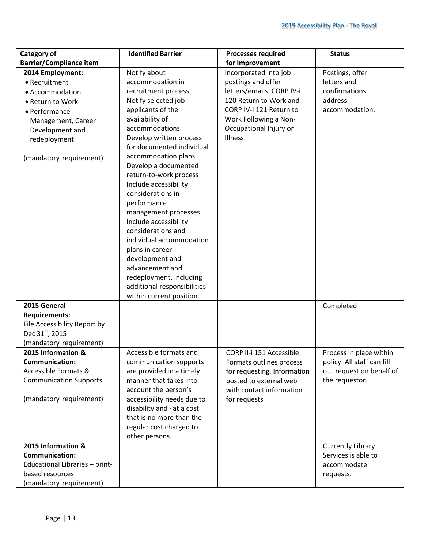| Category of                     | <b>Identified Barrier</b>   | <b>Processes required</b>   | <b>Status</b>              |
|---------------------------------|-----------------------------|-----------------------------|----------------------------|
| <b>Barrier/Compliance item</b>  |                             | for Improvement             |                            |
| 2014 Employment:                | Notify about                | Incorporated into job       | Postings, offer            |
| • Recruitment                   | accommodation in            | postings and offer          | letters and                |
| • Accommodation                 | recruitment process         | letters/emails. CORP IV-i   | confirmations              |
|                                 |                             | 120 Return to Work and      | address                    |
| • Return to Work                | Notify selected job         |                             |                            |
| • Performance                   | applicants of the           | CORP IV-i 121 Return to     | accommodation.             |
| Management, Career              | availability of             | Work Following a Non-       |                            |
| Development and                 | accommodations              | Occupational Injury or      |                            |
| redeployment                    | Develop written process     | Illness.                    |                            |
|                                 | for documented individual   |                             |                            |
| (mandatory requirement)         | accommodation plans         |                             |                            |
|                                 | Develop a documented        |                             |                            |
|                                 | return-to-work process      |                             |                            |
|                                 | Include accessibility       |                             |                            |
|                                 | considerations in           |                             |                            |
|                                 | performance                 |                             |                            |
|                                 | management processes        |                             |                            |
|                                 | Include accessibility       |                             |                            |
|                                 | considerations and          |                             |                            |
|                                 | individual accommodation    |                             |                            |
|                                 | plans in career             |                             |                            |
|                                 | development and             |                             |                            |
|                                 | advancement and             |                             |                            |
|                                 | redeployment, including     |                             |                            |
|                                 | additional responsibilities |                             |                            |
|                                 | within current position.    |                             |                            |
| 2015 General                    |                             |                             | Completed                  |
| <b>Requirements:</b>            |                             |                             |                            |
| File Accessibility Report by    |                             |                             |                            |
| Dec 31st, 2015                  |                             |                             |                            |
| (mandatory requirement)         |                             |                             |                            |
| 2015 Information &              | Accessible formats and      | CORP II-i 151 Accessible    | Process in place within    |
| <b>Communication:</b>           | communication supports      | Formats outlines process    | policy. All staff can fill |
| <b>Accessible Formats &amp;</b> | are provided in a timely    | for requesting. Information | out request on behalf of   |
| <b>Communication Supports</b>   | manner that takes into      | posted to external web      | the requestor.             |
|                                 | account the person's        | with contact information    |                            |
| (mandatory requirement)         | accessibility needs due to  | for requests                |                            |
|                                 | disability and - at a cost  |                             |                            |
|                                 | that is no more than the    |                             |                            |
|                                 | regular cost charged to     |                             |                            |
|                                 | other persons.              |                             |                            |
| 2015 Information &              |                             |                             | <b>Currently Library</b>   |
| <b>Communication:</b>           |                             |                             | Services is able to        |
| Educational Libraries - print-  |                             |                             | accommodate                |
| based resources                 |                             |                             | requests.                  |
| (mandatory requirement)         |                             |                             |                            |
|                                 |                             |                             |                            |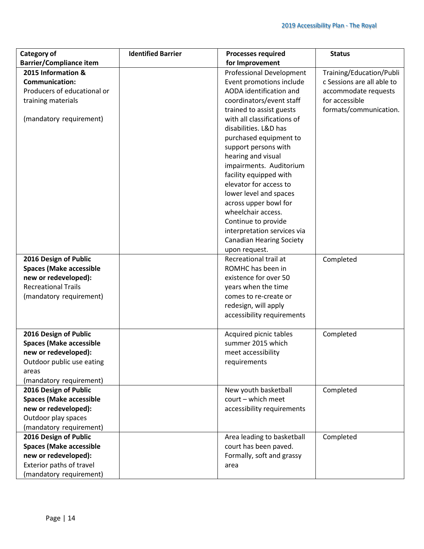| Category of                        | <b>Identified Barrier</b> | <b>Processes required</b>                           | <b>Status</b>              |
|------------------------------------|---------------------------|-----------------------------------------------------|----------------------------|
| <b>Barrier/Compliance item</b>     |                           | for Improvement                                     |                            |
| 2015 Information &                 |                           | <b>Professional Development</b>                     | Training/Education/Publi   |
| <b>Communication:</b>              |                           | Event promotions include                            | c Sessions are all able to |
| Producers of educational or        |                           | AODA identification and                             | accommodate requests       |
| training materials                 |                           | coordinators/event staff                            | for accessible             |
|                                    |                           | trained to assist guests                            | formats/communication.     |
| (mandatory requirement)            |                           | with all classifications of                         |                            |
|                                    |                           | disabilities. L&D has                               |                            |
|                                    |                           | purchased equipment to                              |                            |
|                                    |                           | support persons with                                |                            |
|                                    |                           | hearing and visual                                  |                            |
|                                    |                           | impairments. Auditorium                             |                            |
|                                    |                           | facility equipped with                              |                            |
|                                    |                           | elevator for access to                              |                            |
|                                    |                           | lower level and spaces                              |                            |
|                                    |                           | across upper bowl for                               |                            |
|                                    |                           | wheelchair access.                                  |                            |
|                                    |                           | Continue to provide                                 |                            |
|                                    |                           | interpretation services via                         |                            |
|                                    |                           | <b>Canadian Hearing Society</b>                     |                            |
|                                    |                           | upon request.                                       |                            |
| 2016 Design of Public              |                           | Recreational trail at                               | Completed                  |
| <b>Spaces (Make accessible</b>     |                           | ROMHC has been in                                   |                            |
| new or redeveloped):               |                           | existence for over 50                               |                            |
| <b>Recreational Trails</b>         |                           | years when the time                                 |                            |
| (mandatory requirement)            |                           | comes to re-create or                               |                            |
|                                    |                           | redesign, will apply                                |                            |
|                                    |                           | accessibility requirements                          |                            |
|                                    |                           |                                                     |                            |
| 2016 Design of Public              |                           | Acquired picnic tables                              | Completed                  |
| <b>Spaces (Make accessible</b>     |                           | summer 2015 which                                   |                            |
| new or redeveloped):               |                           | meet accessibility                                  |                            |
| Outdoor public use eating<br>areas |                           | requirements                                        |                            |
| (mandatory requirement)            |                           |                                                     |                            |
| 2016 Design of Public              |                           | New youth basketball                                | Completed                  |
| <b>Spaces (Make accessible</b>     |                           | court - which meet                                  |                            |
| new or redeveloped):               |                           | accessibility requirements                          |                            |
| Outdoor play spaces                |                           |                                                     |                            |
| (mandatory requirement)            |                           |                                                     |                            |
| 2016 Design of Public              |                           |                                                     | Completed                  |
| <b>Spaces (Make accessible</b>     |                           | Area leading to basketball<br>court has been paved. |                            |
| new or redeveloped):               |                           | Formally, soft and grassy                           |                            |
| Exterior paths of travel           |                           | area                                                |                            |
|                                    |                           |                                                     |                            |
| (mandatory requirement)            |                           |                                                     |                            |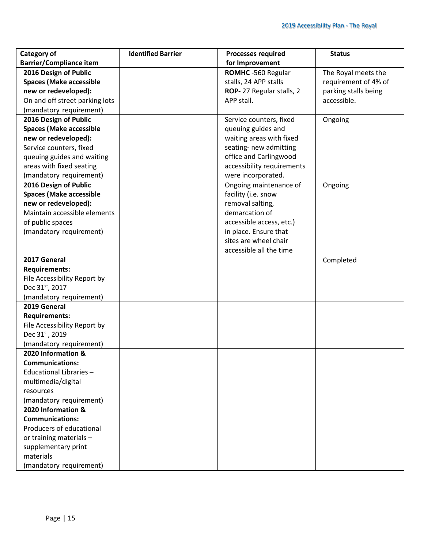| <b>Category of</b>             | <b>Identified Barrier</b> | <b>Processes required</b>  | <b>Status</b>        |
|--------------------------------|---------------------------|----------------------------|----------------------|
| <b>Barrier/Compliance item</b> |                           | for Improvement            |                      |
| 2016 Design of Public          |                           | ROMHC -560 Regular         | The Royal meets the  |
| <b>Spaces (Make accessible</b> |                           | stalls, 24 APP stalls      | requirement of 4% of |
| new or redeveloped):           |                           | ROP-27 Regular stalls, 2   | parking stalls being |
| On and off street parking lots |                           | APP stall.                 | accessible.          |
| (mandatory requirement)        |                           |                            |                      |
| 2016 Design of Public          |                           | Service counters, fixed    | Ongoing              |
| <b>Spaces (Make accessible</b> |                           | queuing guides and         |                      |
| new or redeveloped):           |                           | waiting areas with fixed   |                      |
| Service counters, fixed        |                           | seating- new admitting     |                      |
| queuing guides and waiting     |                           | office and Carlingwood     |                      |
| areas with fixed seating       |                           | accessibility requirements |                      |
| (mandatory requirement)        |                           | were incorporated.         |                      |
| 2016 Design of Public          |                           | Ongoing maintenance of     | Ongoing              |
| <b>Spaces (Make accessible</b> |                           | facility (i.e. snow        |                      |
| new or redeveloped):           |                           | removal salting,           |                      |
| Maintain accessible elements   |                           | demarcation of             |                      |
| of public spaces               |                           | accessible access, etc.)   |                      |
| (mandatory requirement)        |                           | in place. Ensure that      |                      |
|                                |                           | sites are wheel chair      |                      |
|                                |                           | accessible all the time    |                      |
| 2017 General                   |                           |                            | Completed            |
| <b>Requirements:</b>           |                           |                            |                      |
| File Accessibility Report by   |                           |                            |                      |
| Dec 31st, 2017                 |                           |                            |                      |
| (mandatory requirement)        |                           |                            |                      |
| 2019 General                   |                           |                            |                      |
| <b>Requirements:</b>           |                           |                            |                      |
| File Accessibility Report by   |                           |                            |                      |
| Dec 31st, 2019                 |                           |                            |                      |
| (mandatory requirement)        |                           |                            |                      |
| 2020 Information &             |                           |                            |                      |
| <b>Communications:</b>         |                           |                            |                      |
| Educational Libraries-         |                           |                            |                      |
| multimedia/digital             |                           |                            |                      |
| resources                      |                           |                            |                      |
| (mandatory requirement)        |                           |                            |                      |
| 2020 Information &             |                           |                            |                      |
| <b>Communications:</b>         |                           |                            |                      |
| Producers of educational       |                           |                            |                      |
| or training materials -        |                           |                            |                      |
| supplementary print            |                           |                            |                      |
| materials                      |                           |                            |                      |
| (mandatory requirement)        |                           |                            |                      |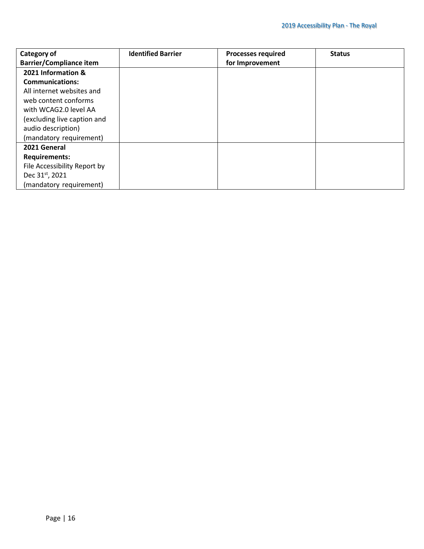| Category of                    | <b>Identified Barrier</b> | <b>Processes required</b> | <b>Status</b> |
|--------------------------------|---------------------------|---------------------------|---------------|
| <b>Barrier/Compliance item</b> |                           | for Improvement           |               |
| 2021 Information &             |                           |                           |               |
| <b>Communications:</b>         |                           |                           |               |
| All internet websites and      |                           |                           |               |
| web content conforms           |                           |                           |               |
| with WCAG2.0 level AA          |                           |                           |               |
| (excluding live caption and    |                           |                           |               |
| audio description)             |                           |                           |               |
| (mandatory requirement)        |                           |                           |               |
| 2021 General                   |                           |                           |               |
| <b>Requirements:</b>           |                           |                           |               |
| File Accessibility Report by   |                           |                           |               |
| Dec 31 <sup>st</sup> , 2021    |                           |                           |               |
| (mandatory requirement)        |                           |                           |               |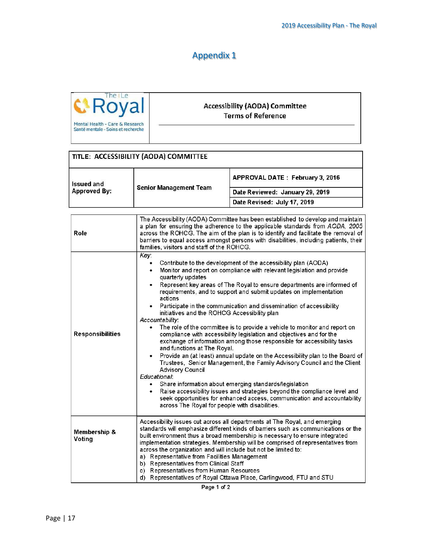# Appendix 1



#### **Accessibility (AODA) Committee Terms of Reference**

|                                                                           | TITLE: ACCESSIBILITY (AODA) COMMITTEE |                                 |
|---------------------------------------------------------------------------|---------------------------------------|---------------------------------|
| <b>Issued and</b><br><b>Senior Management Team</b><br><b>Approved By:</b> | APPROVAL DATE: February 3, 2016       |                                 |
|                                                                           |                                       | Date Reviewed: January 29, 2019 |
|                                                                           |                                       | Date Revised: July 17, 2019     |

| Role                    | The Accessibility (AODA) Committee has been established to develop and maintain<br>a plan for ensuring the adherence to the applicable standards from AODA, 2005<br>across the ROHCG. The aim of the plan is to identify and facilitate the removal of<br>barriers to equal access amongst persons with disabilities, including patients, their<br>families, visitors and staff of the ROHCG.                                                                                                                                                                                                                                                                                                                                                                                                                                                                                                                                                                                                                                                                                                                                                                                                                                                |
|-------------------------|----------------------------------------------------------------------------------------------------------------------------------------------------------------------------------------------------------------------------------------------------------------------------------------------------------------------------------------------------------------------------------------------------------------------------------------------------------------------------------------------------------------------------------------------------------------------------------------------------------------------------------------------------------------------------------------------------------------------------------------------------------------------------------------------------------------------------------------------------------------------------------------------------------------------------------------------------------------------------------------------------------------------------------------------------------------------------------------------------------------------------------------------------------------------------------------------------------------------------------------------|
| <b>Responsibilities</b> | Key:<br>Contribute to the development of the accessibility plan (AODA)<br>٠<br>Monitor and report on compliance with relevant legislation and provide<br>٠<br>quarterly updates<br>Represent key areas of The Royal to ensure departments are informed of<br>$\bullet$<br>requirements, and to support and submit updates on implementation<br>actions<br>Participate in the communication and dissemination of accessibility<br>initiatives and the ROHCG Accessibility plan<br>Accountability:<br>The role of the committee is to provide a vehicle to monitor and report on<br>compliance with accessibility legislation and objectives and for the<br>exchange of information among those responsible for accessibility tasks<br>and functions at The Royal.<br>Provide an (at least) annual update on the Accessibility plan to the Board of<br>Trustees, Senior Management, the Family Advisory Council and the Client<br><b>Advisory Council</b><br>Educational:<br>Share information about emerging standards/legislation<br>Raise accessibility issues and strategies beyond the compliance level and<br>seek opportunities for enhanced access, communication and accountability<br>across The Royal for people with disabilities. |
| Membership &<br>Voting  | Accessibility issues cut across all departments at The Royal, and emerging<br>standards will emphasize different kinds of barriers such as communications or the<br>built environment thus a broad membership is necessary to ensure integrated<br>implementation strategies. Membership will be comprised of representatives from<br>across the organization and will include but not be limited to:<br>a) Representative from Facilities Management<br>b) Representatives from Clinical Staff<br>c) Representatives from Human Resources<br>d) Representatives of Royal Ottawa Place, Carlingwood, FTU and STU                                                                                                                                                                                                                                                                                                                                                                                                                                                                                                                                                                                                                             |